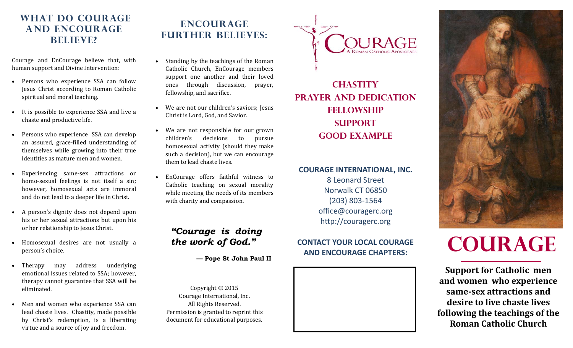# **WHAT DO COURAGE and EnCourage believe?**

Courage and EnCourage believe that, with human support and Divine Intervention:

- $\bullet$ Persons who experience SSA can follow Jesus Christ according to Roman Catholic spiritual and moral teaching.
- $\bullet$ It is possible to experience SSA and live a chaste and productive life.
- $\bullet$ Persons who experience SSA can develop an assured, grace-filled understanding of themselves while growing into their true identities as mature men and women.
- $\bullet$ Experiencing same-sex attractions or homo-sexual feelings is not itself a sin; however, homosexual acts are immoral and do not lead to a deeper life in Christ.
- $\bullet$ A person's dignity does not depend upon his or her sexual attractions but upon his or her relationship to Jesus Christ.
- $\bullet$ Homosexual desires are not usually a person's choice.
- $\bullet$ Therapy may address underlying emotional issues related to SSA; however, therapy cannot guarantee that SSA will be eliminated.
- $\bullet$ Men and women who experience SSA can lead chaste lives. Chastity, made possible by Christ's redemption, is a liberating virtue and a source of joy and freedom.

# **EnCouragefurther believes:**

- $\bullet$ Standing by the teachings of the Roman Catholic Church, EnCourage members support one another and their loved ones through discussion, prayer, fellowship, and sacrifice.
- $\bullet$ We are not our children's saviors: Jesus Christ is Lord, God, and Savior.
- $\bullet$ We are not responsible for our grown children's decisions to pursue homosexual activity (should they make such a decision), but we can encourage them to lead chaste lives.
- $\bullet$  EnCourage offers faithful witness to Catholic teaching on sexual morality while meeting the needs of its members with charity and compassion.

# *"Courage is doing the work of God."*

 **— Pope St John Paul II** 

Copyright  $©$  2015 Courage International, Inc. All Rights Reserved. Permission is granted to reprint this document for educational purposes.



**Chastity Prayer and Dedication Fellowship Support Good Example** 

# **COURAGE INTERNATIONAL, INC.**  8 Leonard Street Norwalk CT 06850

(203) 803‐1564 office@couragerc.org http://couragerc.org

### **CONTACT YOUR LOCAL COURAGE AND ENCOURAGE CHAPTERS:**





# **Courage**

**Support for Catholic men and women who experience same‐sex attractions anddesire to live chaste lives following the teachings of the Roman Catholic Church**